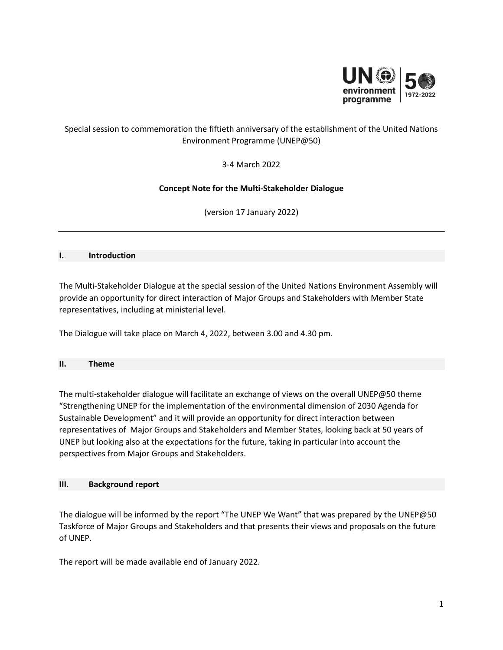

# Special session to commemoration the fiftieth anniversary of the establishment of the United Nations Environment Programme (UNEP@50)

3-4 March 2022

# **Concept Note for the Multi-Stakeholder Dialogue**

(version 17 January 2022)

### **I. Introduction**

The Multi-Stakeholder Dialogue at the special session of the United Nations Environment Assembly will provide an opportunity for direct interaction of Major Groups and Stakeholders with Member State representatives, including at ministerial level.

The Dialogue will take place on March 4, 2022, between 3.00 and 4.30 pm.

#### **II. Theme**

The multi-stakeholder dialogue will facilitate an exchange of views on the overall UNEP@50 theme "Strengthening UNEP for the implementation of the environmental dimension of 2030 Agenda for Sustainable Development" and it will provide an opportunity for direct interaction between representatives of Major Groups and Stakeholders and Member States, looking back at 50 years of UNEP but looking also at the expectations for the future, taking in particular into account the perspectives from Major Groups and Stakeholders.

## **III. Background report**

The dialogue will be informed by the report "The UNEP We Want" that was prepared by the UNEP@50 Taskforce of Major Groups and Stakeholders and that presents their views and proposals on the future of UNEP.

The report will be made available end of January 2022.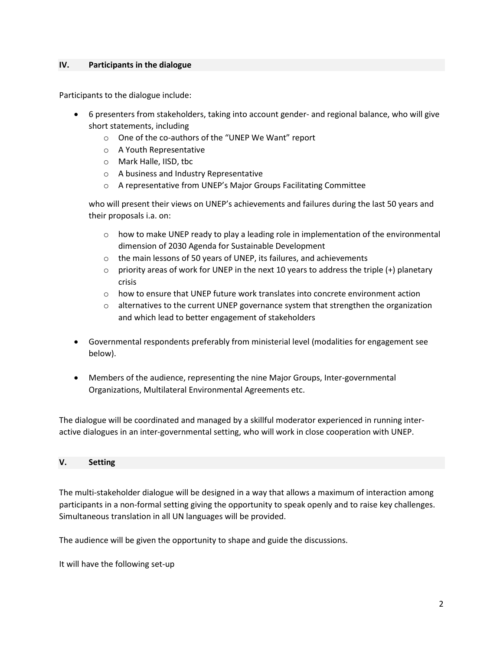### **IV. Participants in the dialogue**

Participants to the dialogue include:

- 6 presenters from stakeholders, taking into account gender- and regional balance, who will give short statements, including
	- o One of the co-authors of the "UNEP We Want" report
	- o A Youth Representative
	- o Mark Halle, IISD, tbc
	- o A business and Industry Representative
	- o A representative from UNEP's Major Groups Facilitating Committee

who will present their views on UNEP's achievements and failures during the last 50 years and their proposals i.a. on:

- $\circ$  how to make UNEP ready to play a leading role in implementation of the environmental dimension of 2030 Agenda for Sustainable Development
- o the main lessons of 50 years of UNEP, its failures, and achievements
- $\circ$  priority areas of work for UNEP in the next 10 years to address the triple (+) planetary crisis
- $\circ$  how to ensure that UNEP future work translates into concrete environment action
- $\circ$  alternatives to the current UNEP governance system that strengthen the organization and which lead to better engagement of stakeholders
- Governmental respondents preferably from ministerial level (modalities for engagement see below).
- Members of the audience, representing the nine Major Groups, Inter-governmental Organizations, Multilateral Environmental Agreements etc.

The dialogue will be coordinated and managed by a skillful moderator experienced in running interactive dialogues in an inter-governmental setting, who will work in close cooperation with UNEP.

#### **V. Setting**

The multi-stakeholder dialogue will be designed in a way that allows a maximum of interaction among participants in a non-formal setting giving the opportunity to speak openly and to raise key challenges. Simultaneous translation in all UN languages will be provided.

The audience will be given the opportunity to shape and guide the discussions.

It will have the following set-up